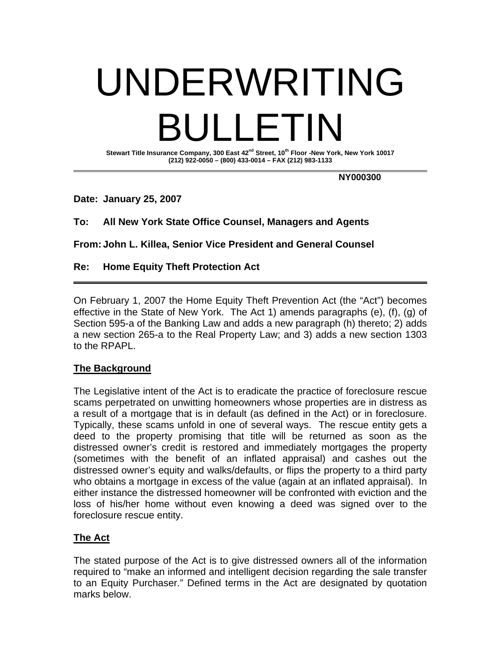# UNDERWRITING BULLETIN

**Stewart Title Insurance Company, 300 East 42nd Street, 10th Floor -New York, New York 10017 (212) 922-0050 – (800) 433-0014 – FAX (212) 983-1133** 

 **NY000300** 

**Date: January 25, 2007** 

**To: All New York State Office Counsel, Managers and Agents** 

**From: John L. Killea, Senior Vice President and General Counsel** 

# **Re: Home Equity Theft Protection Act**

On February 1, 2007 the Home Equity Theft Prevention Act (the "Act") becomes effective in the State of New York. The Act 1) amends paragraphs (e), (f), (g) of Section 595-a of the Banking Law and adds a new paragraph (h) thereto; 2) adds a new section 265-a to the Real Property Law; and 3) adds a new section 1303 to the RPAPL.

# **The Background**

The Legislative intent of the Act is to eradicate the practice of foreclosure rescue scams perpetrated on unwitting homeowners whose properties are in distress as a result of a mortgage that is in default (as defined in the Act) or in foreclosure. Typically, these scams unfold in one of several ways. The rescue entity gets a deed to the property promising that title will be returned as soon as the distressed owner's credit is restored and immediately mortgages the property (sometimes with the benefit of an inflated appraisal) and cashes out the distressed owner's equity and walks/defaults, or flips the property to a third party who obtains a mortgage in excess of the value (again at an inflated appraisal). In either instance the distressed homeowner will be confronted with eviction and the loss of his/her home without even knowing a deed was signed over to the foreclosure rescue entity.

# **The Act**

The stated purpose of the Act is to give distressed owners all of the information required to "make an informed and intelligent decision regarding the sale transfer to an Equity Purchaser." Defined terms in the Act are designated by quotation marks below.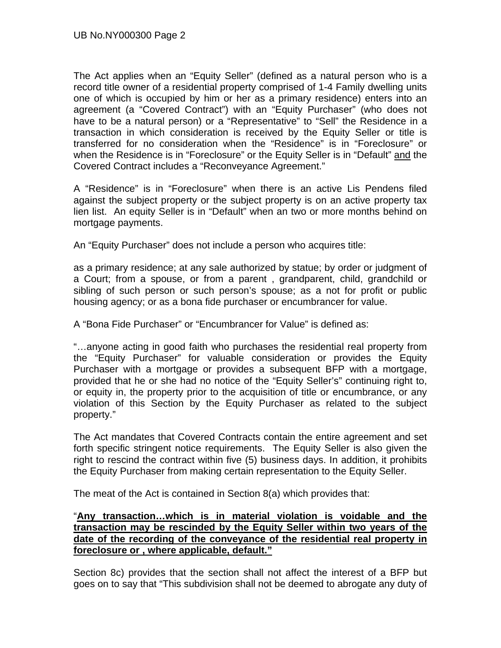The Act applies when an "Equity Seller" (defined as a natural person who is a record title owner of a residential property comprised of 1-4 Family dwelling units one of which is occupied by him or her as a primary residence) enters into an agreement (a "Covered Contract") with an "Equity Purchaser" (who does not have to be a natural person) or a "Representative" to "Sell" the Residence in a transaction in which consideration is received by the Equity Seller or title is transferred for no consideration when the "Residence" is in "Foreclosure" or when the Residence is in "Foreclosure" or the Equity Seller is in "Default" and the Covered Contract includes a "Reconveyance Agreement."

A "Residence" is in "Foreclosure" when there is an active Lis Pendens filed against the subject property or the subject property is on an active property tax lien list. An equity Seller is in "Default" when an two or more months behind on mortgage payments.

An "Equity Purchaser" does not include a person who acquires title:

as a primary residence; at any sale authorized by statue; by order or judgment of a Court; from a spouse, or from a parent , grandparent, child, grandchild or sibling of such person or such person's spouse; as a not for profit or public housing agency; or as a bona fide purchaser or encumbrancer for value.

A "Bona Fide Purchaser" or "Encumbrancer for Value" is defined as:

"…anyone acting in good faith who purchases the residential real property from the "Equity Purchaser" for valuable consideration or provides the Equity Purchaser with a mortgage or provides a subsequent BFP with a mortgage, provided that he or she had no notice of the "Equity Seller's" continuing right to, or equity in, the property prior to the acquisition of title or encumbrance, or any violation of this Section by the Equity Purchaser as related to the subject property."

The Act mandates that Covered Contracts contain the entire agreement and set forth specific stringent notice requirements. The Equity Seller is also given the right to rescind the contract within five (5) business days. In addition, it prohibits the Equity Purchaser from making certain representation to the Equity Seller.

The meat of the Act is contained in Section 8(a) which provides that:

# "**Any transaction…which is in material violation is voidable and the transaction may be rescinded by the Equity Seller within two years of the date of the recording of the conveyance of the residential real property in foreclosure or , where applicable, default."**

Section 8c) provides that the section shall not affect the interest of a BFP but goes on to say that "This subdivision shall not be deemed to abrogate any duty of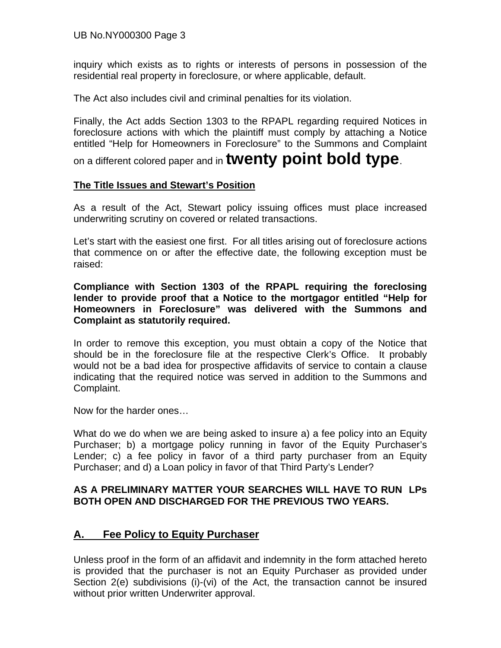inquiry which exists as to rights or interests of persons in possession of the residential real property in foreclosure, or where applicable, default.

The Act also includes civil and criminal penalties for its violation.

Finally, the Act adds Section 1303 to the RPAPL regarding required Notices in foreclosure actions with which the plaintiff must comply by attaching a Notice entitled "Help for Homeowners in Foreclosure" to the Summons and Complaint

on a different colored paper and in **twenty point bold type**.

# **The Title Issues and Stewart's Position**

As a result of the Act, Stewart policy issuing offices must place increased underwriting scrutiny on covered or related transactions.

Let's start with the easiest one first. For all titles arising out of foreclosure actions that commence on or after the effective date, the following exception must be raised:

**Compliance with Section 1303 of the RPAPL requiring the foreclosing lender to provide proof that a Notice to the mortgagor entitled "Help for Homeowners in Foreclosure" was delivered with the Summons and Complaint as statutorily required.** 

In order to remove this exception, you must obtain a copy of the Notice that should be in the foreclosure file at the respective Clerk's Office. It probably would not be a bad idea for prospective affidavits of service to contain a clause indicating that the required notice was served in addition to the Summons and Complaint.

Now for the harder ones…

What do we do when we are being asked to insure a) a fee policy into an Equity Purchaser; b) a mortgage policy running in favor of the Equity Purchaser's Lender; c) a fee policy in favor of a third party purchaser from an Equity Purchaser; and d) a Loan policy in favor of that Third Party's Lender?

# **AS A PRELIMINARY MATTER YOUR SEARCHES WILL HAVE TO RUN LPs BOTH OPEN AND DISCHARGED FOR THE PREVIOUS TWO YEARS.**

# **A. Fee Policy to Equity Purchaser**

Unless proof in the form of an affidavit and indemnity in the form attached hereto is provided that the purchaser is not an Equity Purchaser as provided under Section 2(e) subdivisions (i)-(vi) of the Act, the transaction cannot be insured without prior written Underwriter approval.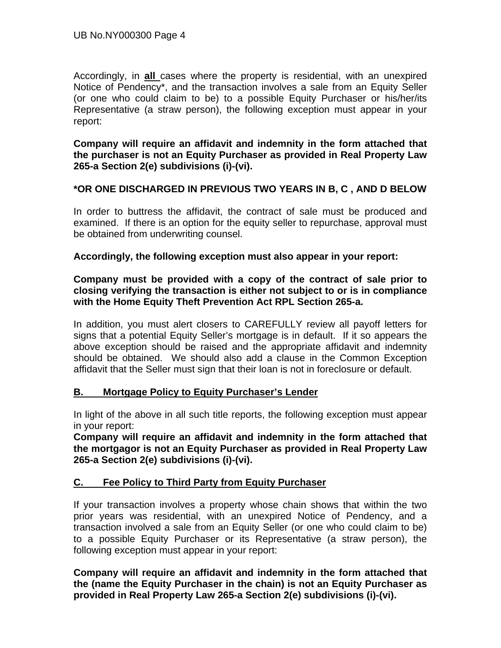Accordingly, in **all** cases where the property is residential, with an unexpired Notice of Pendency\*, and the transaction involves a sale from an Equity Seller (or one who could claim to be) to a possible Equity Purchaser or his/her/its Representative (a straw person), the following exception must appear in your report:

**Company will require an affidavit and indemnity in the form attached that the purchaser is not an Equity Purchaser as provided in Real Property Law 265-a Section 2(e) subdivisions (i)-(vi).** 

# **\*OR ONE DISCHARGED IN PREVIOUS TWO YEARS IN B, C , AND D BELOW**

In order to buttress the affidavit, the contract of sale must be produced and examined. If there is an option for the equity seller to repurchase, approval must be obtained from underwriting counsel.

# **Accordingly, the following exception must also appear in your report:**

# **Company must be provided with a copy of the contract of sale prior to closing verifying the transaction is either not subject to or is in compliance with the Home Equity Theft Prevention Act RPL Section 265-a.**

In addition, you must alert closers to CAREFULLY review all payoff letters for signs that a potential Equity Seller's mortgage is in default. If it so appears the above exception should be raised and the appropriate affidavit and indemnity should be obtained. We should also add a clause in the Common Exception affidavit that the Seller must sign that their loan is not in foreclosure or default.

# **B. Mortgage Policy to Equity Purchaser's Lender**

In light of the above in all such title reports, the following exception must appear in your report:

**Company will require an affidavit and indemnity in the form attached that the mortgagor is not an Equity Purchaser as provided in Real Property Law 265-a Section 2(e) subdivisions (i)-(vi).** 

# **C. Fee Policy to Third Party from Equity Purchaser**

If your transaction involves a property whose chain shows that within the two prior years was residential, with an unexpired Notice of Pendency, and a transaction involved a sale from an Equity Seller (or one who could claim to be) to a possible Equity Purchaser or its Representative (a straw person), the following exception must appear in your report:

**Company will require an affidavit and indemnity in the form attached that the (name the Equity Purchaser in the chain) is not an Equity Purchaser as provided in Real Property Law 265-a Section 2(e) subdivisions (i)-(vi).**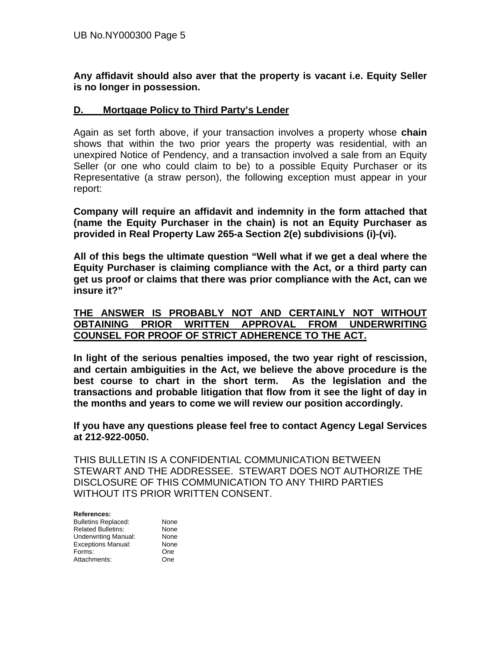**Any affidavit should also aver that the property is vacant i.e. Equity Seller is no longer in possession.** 

## **D. Mortgage Policy to Third Party's Lender**

Again as set forth above, if your transaction involves a property whose **chain** shows that within the two prior years the property was residential, with an unexpired Notice of Pendency, and a transaction involved a sale from an Equity Seller (or one who could claim to be) to a possible Equity Purchaser or its Representative (a straw person), the following exception must appear in your report:

**Company will require an affidavit and indemnity in the form attached that (name the Equity Purchaser in the chain) is not an Equity Purchaser as provided in Real Property Law 265-a Section 2(e) subdivisions (i)-(vi).** 

**All of this begs the ultimate question "Well what if we get a deal where the Equity Purchaser is claiming compliance with the Act, or a third party can get us proof or claims that there was prior compliance with the Act, can we insure it?"** 

## **THE ANSWER IS PROBABLY NOT AND CERTAINLY NOT WITHOUT OBTAINING PRIOR WRITTEN APPROVAL FROM UNDERWRITING COUNSEL FOR PROOF OF STRICT ADHERENCE TO THE ACT.**

**In light of the serious penalties imposed, the two year right of rescission, and certain ambiguities in the Act, we believe the above procedure is the best course to chart in the short term. As the legislation and the transactions and probable litigation that flow from it see the light of day in the months and years to come we will review our position accordingly.** 

**If you have any questions please feel free to contact Agency Legal Services at 212-922-0050.** 

THIS BULLETIN IS A CONFIDENTIAL COMMUNICATION BETWEEN STEWART AND THE ADDRESSEE. STEWART DOES NOT AUTHORIZE THE DISCLOSURE OF THIS COMMUNICATION TO ANY THIRD PARTIES WITHOUT ITS PRIOR WRITTEN CONSENT.

| References:                 |      |
|-----------------------------|------|
| <b>Bulletins Replaced:</b>  | None |
| <b>Related Bulletins:</b>   | None |
| <b>Underwriting Manual:</b> | None |
| <b>Exceptions Manual:</b>   | None |
| Forms:                      | One  |
| Attachments:                | One  |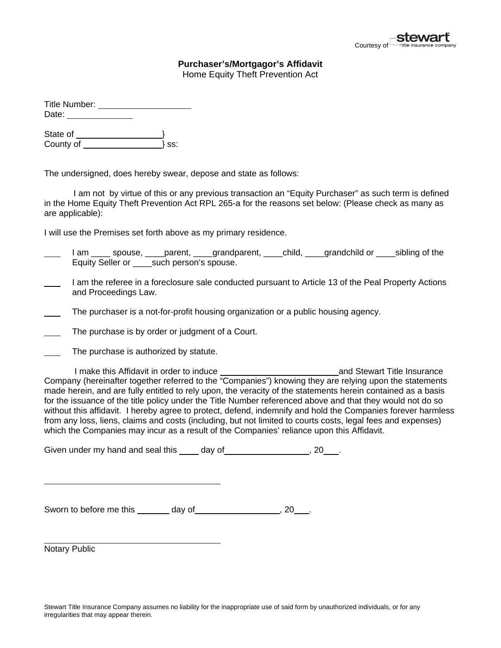

# **Purchaser's/Mortgagor's Affidavit**

Home Equity Theft Prevention Act

| Title Number: |     |
|---------------|-----|
| Date:         |     |
| State of      |     |
| County of     | SS: |

The undersigned, does hereby swear, depose and state as follows:

 I am not by virtue of this or any previous transaction an "Equity Purchaser" as such term is defined in the Home Equity Theft Prevention Act RPL 265-a for the reasons set below: (Please check as many as are applicable):

I will use the Premises set forth above as my primary residence.

- I am \_\_\_\_\_ spouse, \_\_\_\_parent, \_\_\_\_grandparent, \_\_\_\_child, \_\_\_\_grandchild or \_\_\_\_sibling of the Equity Seller or \_\_\_\_such person's spouse.
- I am the referee in a foreclosure sale conducted pursuant to Article 13 of the Peal Property Actions and Proceedings Law.
- The purchaser is a not-for-profit housing organization or a public housing agency.
- The purchase is by order or judgment of a Court.
- The purchase is authorized by statute.

 I make this Affidavit in order to induce and Stewart Title Insurance Company (hereinafter together referred to the "Companies") knowing they are relying upon the statements made herein, and are fully entitled to rely upon, the veracity of the statements herein contained as a basis for the issuance of the title policy under the Title Number referenced above and that they would not do so without this affidavit. I hereby agree to protect, defend, indemnify and hold the Companies forever harmless from any loss, liens, claims and costs (including, but not limited to courts costs, legal fees and expenses) which the Companies may incur as a result of the Companies' reliance upon this Affidavit.

Given under my hand and seal this day of  $\sim$ , 20 .

Sworn to before me this \_\_\_\_\_\_\_ day of \_ and the set of  $\sim$  .

Notary Public

 $\overline{a}$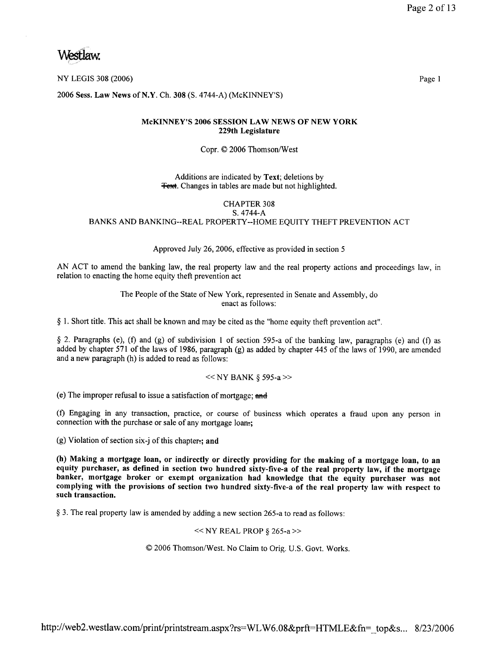Westlaw.

2006 Sess. Law News of N.Y. Ch. 308 (S. 4744-A) (McKINNEY'S)

#### McKINNEY'S 2006 SESSION LAW NEWS OF NEW YORK 229th Legislature

#### Copr. © 2006 Thomson/West

#### Additions are indicated by Text; deletions by **Text.** Changes in tables are made but not highlighted.

#### **CHAPTER 308** S. 4744-A

BANKS AND BANKING--REAL PROPERTY--HOME EQUITY THEFT PREVENTION ACT

#### Approved July 26, 2006, effective as provided in section 5

AN ACT to amend the banking law, the real property law and the real property actions and proceedings law, in relation to enacting the home equity theft prevention act

> The People of the State of New York, represented in Senate and Assembly, do enact as follows:

§ 1. Short title. This act shall be known and may be cited as the "home equity theft prevention act".

§ 2. Paragraphs (e), (f) and (g) of subdivision 1 of section 595-a of the banking law, paragraphs (e) and (f) as added by chapter 571 of the laws of 1986, paragraph (g) as added by chapter 445 of the laws of 1990, are amended and a new paragraph (h) is added to read as follows:

#### $<<$  NY BANK § 595-a >>

(e) The improper refusal to issue a satisfaction of mortgage; and

(f) Engaging in any transaction, practice, or course of business which operates a fraud upon any person in connection with the purchase or sale of any mortgage loan-;

 $(g)$  Violation of section six-j of this chapter-; and

(h) Making a mortgage loan, or indirectly or directly providing for the making of a mortgage loan, to an equity purchaser, as defined in section two hundred sixty-five-a of the real property law, if the mortgage banker, mortgage broker or exempt organization had knowledge that the equity purchaser was not complying with the provisions of section two hundred sixty-five-a of the real property law with respect to such transaction.

§ 3. The real property law is amended by adding a new section 265-a to read as follows:

#### $<<$  NY REAL PROP § 265-a >>

© 2006 Thomson/West. No Claim to Orig. U.S. Govt. Works.

http://web2.westlaw.com/print/printstream.aspx?rs=WLW6.08&prft=HTMLE&fn= top&s... 8/23/2006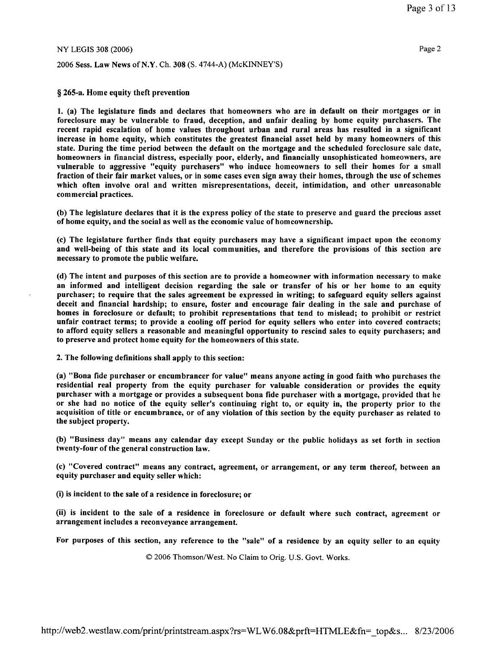2006 Sess. Law News of N.Y. Ch. 308 (S. 4744-A) (McKINNEY'S)

#### § 265-a. Home equity theft prevention

1. (a) The legislature finds and declares that homeowners who are in default on their mortgages or in foreclosure may be vulnerable to fraud, deception, and unfair dealing by home equity purchasers. The recent rapid escalation of home values throughout urban and rural areas has resulted in a significant increase in home equity, which constitutes the greatest financial asset held by many homeowners of this state. During the time period between the default on the mortgage and the scheduled foreclosure sale date, homeowners in financial distress, especially poor, elderly, and financially unsophisticated homeowners, are vulnerable to aggressive "equity purchasers" who induce homeowners to sell their homes for a small fraction of their fair market values, or in some cases even sign away their homes, through the use of schemes which often involve oral and written misrepresentations, deceit, intimidation, and other unreasonable commercial practices.

(b) The legislature declares that it is the express policy of the state to preserve and guard the precious asset of home equity, and the social as well as the economic value of homeownership.

(c) The legislature further finds that equity purchasers may have a significant impact upon the economy and well-being of this state and its local communities, and therefore the provisions of this section are necessary to promote the public welfare.

(d) The intent and purposes of this section are to provide a homeowner with information necessary to make an informed and intelligent decision regarding the sale or transfer of his or her home to an equity purchaser; to require that the sales agreement be expressed in writing; to safeguard equity sellers against deceit and financial hardship; to ensure, foster and encourage fair dealing in the sale and purchase of homes in foreclosure or default; to prohibit representations that tend to mislead; to prohibit or restrict unfair contract terms; to provide a cooling off period for equity sellers who enter into covered contracts; to afford equity sellers a reasonable and meaningful opportunity to rescind sales to equity purchasers; and to preserve and protect home equity for the homeowners of this state.

2. The following definitions shall apply to this section:

(a) "Bona fide purchaser or encumbrancer for value" means anyone acting in good faith who purchases the residential real property from the equity purchaser for valuable consideration or provides the equity purchaser with a mortgage or provides a subsequent bona fide purchaser with a mortgage, provided that he or she had no notice of the equity seller's continuing right to, or equity in, the property prior to the acquisition of title or encumbrance, or of any violation of this section by the equity purchaser as related to the subject property.

(b) "Business day" means any calendar day except Sunday or the public holidays as set forth in section twenty-four of the general construction law.

(c) "Covered contract" means any contract, agreement, or arrangement, or any term thereof, between an equity purchaser and equity seller which:

(i) is incident to the sale of a residence in foreclosure; or

(ii) is incident to the sale of a residence in foreclosure or default where such contract, agreement or arrangement includes a reconveyance arrangement.

For purposes of this section, any reference to the "sale" of a residence by an equity seller to an equity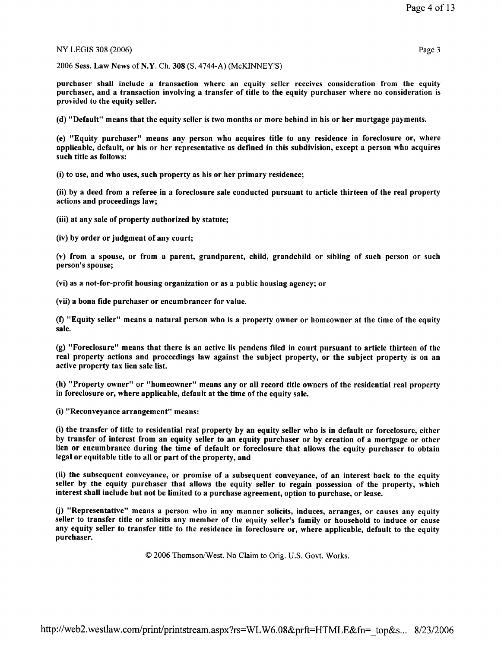2006 Sess. Law News of N.Y. Ch. 308 (S. 4744-A) (McKINNEY'S)

purchaser shall include a transaction where an equity seller receives consideration from the equity purchaser, and a transaction involving a transfer of title to the equity purchaser where no consideration is provided to the equity seller.

(d) "Default" means that the equity seller is two months or more behind in his or her mortgage payments.

(e) "Equity purchaser" means any person who acquires title to any residence in foreclosure or, where applicable, default, or his or her representative as defined in this subdivision, except a person who acquires such title as follows:

(i) to use, and who uses, such property as his or her primary residence;

(ii) by a deed from a referee in a foreclosure sale conducted pursuant to article thirteen of the real property actions and proceedings law;

(iii) at any sale of property authorized by statute;

(iv) by order or judgment of any court;

(v) from a spouse, or from a parent, grandparent, child, grandchild or sibling of such person or such person's spouse;

(vi) as a not-for-profit housing organization or as a public housing agency; or

(vii) a bona fide purchaser or encumbrancer for value.

(f) "Equity seller" means a natural person who is a property owner or homeowner at the time of the equity sale.

(g) "Foreclosure" means that there is an active lis pendens filed in court pursuant to article thirteen of the real property actions and proceedings law against the subject property, or the subject property is on an active property tax lien sale list.

(h) "Property owner" or "homeowner" means any or all record title owners of the residential real property in foreclosure or, where applicable, default at the time of the equity sale.

(i) "Reconveyance arrangement" means:

(i) the transfer of title to residential real property by an equity seller who is in default or foreclosure, either by transfer of interest from an equity seller to an equity purchaser or by creation of a mortgage or other lien or encumbrance during the time of default or foreclosure that allows the equity purchaser to obtain legal or equitable title to all or part of the property, and

(ii) the subsequent conveyance, or promise of a subsequent conveyance, of an interest back to the equity seller by the equity purchaser that allows the equity seller to regain possession of the property, which interest shall include but not be limited to a purchase agreement, option to purchase, or lease.

(j) "Representative" means a person who in any manner solicits, induces, arranges, or causes any equity seller to transfer title or solicits any member of the equity seller's family or household to induce or cause any equity seller to transfer title to the residence in foreclosure or, where applicable, default to the equity purchaser.

© 2006 Thomson/West. No Claim to Orig. U.S. Govt. Works.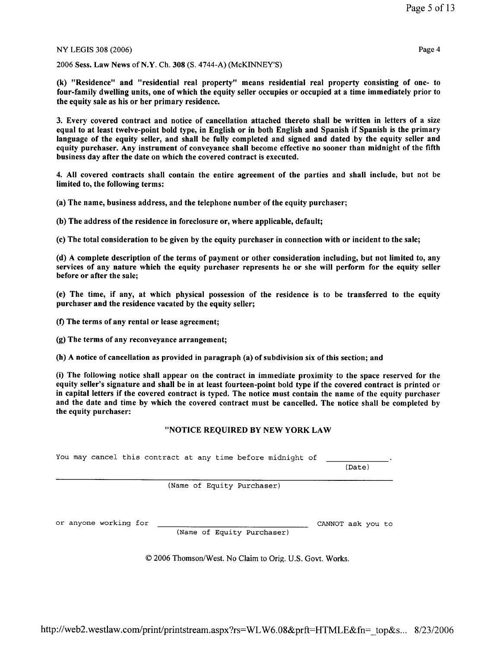2006 Sess. Law News of N.Y. Ch. 308 (S. 4744-A) (McKINNEY'S)

(k) "Residence" and "residential real property" means residential real property consisting of one- to four-family dwelling units, one of which the equity seller occupies or occupied at a time immediately prior to the equity sale as his or her primary residence.

3. Every covered contract and notice of cancellation attached thereto shall be written in letters of a size equal to at least twelve-point bold type, in English or in both English and Spanish if Spanish is the primary language of the equity seller, and shall be fully completed and signed and dated by the equity seller and equity purchaser. Any instrument of conveyance shall become effective no sooner than midnight of the fifth business day after the date on which the covered contract is executed.

4. All covered contracts shall contain the entire agreement of the parties and shall include, but not be limited to, the following terms:

(a) The name, business address, and the telephone number of the equity purchaser;

(b) The address of the residence in foreclosure or, where applicable, default;

(c) The total consideration to be given by the equity purchaser in connection with or incident to the sale;

(d) A complete description of the terms of payment or other consideration including, but not limited to, any services of any nature which the equity purchaser represents he or she will perform for the equity seller before or after the sale;

(e) The time, if any, at which physical possession of the residence is to be transferred to the equity purchaser and the residence vacated by the equity seller;

(f) The terms of any rental or lease agreement;

(g) The terms of any reconveyance arrangement;

(h) A notice of cancellation as provided in paragraph (a) of subdivision six of this section; and

(i) The following notice shall appear on the contract in immediate proximity to the space reserved for the equity seller's signature and shall be in at least fourteen-point bold type if the covered contract is printed or in capital letters if the covered contract is typed. The notice must contain the name of the equity purchaser and the date and time by which the covered contract must be cancelled. The notice shall be completed by the equity purchaser:

### "NOTICE REQUIRED BY NEW YORK LAW

|  |                       |  |  | You may cancel this contract at any time before midnight of |  | (Date)            |  |
|--|-----------------------|--|--|-------------------------------------------------------------|--|-------------------|--|
|  |                       |  |  | (Name of Equity Purchaser)                                  |  |                   |  |
|  | or anyone working for |  |  | (Name of Equity Purchaser)                                  |  | CANNOT ask you to |  |

© 2006 Thomson/West. No Claim to Orig. U.S. Govt. Works.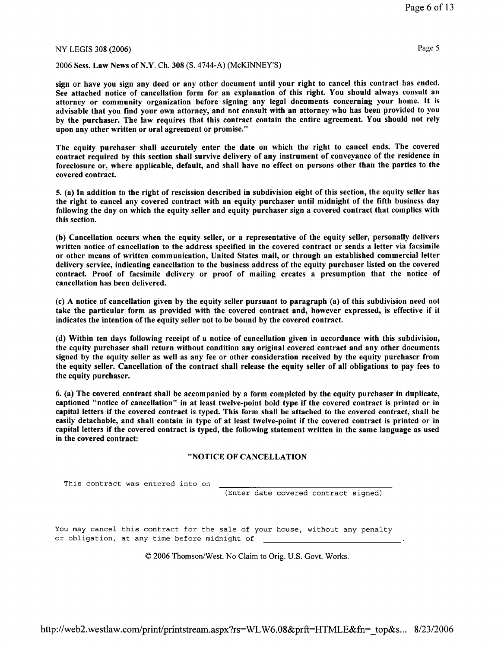2006 Sess. Law News of N.Y. Ch. 308 (S. 4744-A) (McKINNEY'S)

sign or have you sign any deed or any other document until your right to cancel this contract has ended. See attached notice of cancellation form for an explanation of this right. You should always consult an attorney or community organization before signing any legal documents concerning your home. It is advisable that you find your own attorney, and not consult with an attorney who has been provided to you by the purchaser. The law requires that this contract contain the entire agreement. You should not rely upon any other written or oral agreement or promise."

The equity purchaser shall accurately enter the date on which the right to cancel ends. The covered contract required by this section shall survive delivery of any instrument of conveyance of the residence in foreclosure or, where applicable, default, and shall have no effect on persons other than the parties to the covered contract.

5. (a) In addition to the right of rescission described in subdivision eight of this section, the equity seller has the right to cancel any covered contract with an equity purchaser until midnight of the fifth business day following the day on which the equity seller and equity purchaser sign a covered contract that complies with this section.

(b) Cancellation occurs when the equity seller, or a representative of the equity seller, personally delivers written notice of cancellation to the address specified in the covered contract or sends a letter via facsimile or other means of written communication, United States mail, or through an established commercial letter delivery service, indicating cancellation to the business address of the equity purchaser listed on the covered contract. Proof of facsimile delivery or proof of mailing creates a presumption that the notice of cancellation has been delivered.

(c) A notice of cancellation given by the equity seller pursuant to paragraph (a) of this subdivision need not take the particular form as provided with the covered contract and, however expressed, is effective if it indicates the intention of the equity seller not to be bound by the covered contract.

(d) Within ten days following receipt of a notice of cancellation given in accordance with this subdivision, the equity purchaser shall return without condition any original covered contract and any other documents signed by the equity seller as well as any fee or other consideration received by the equity purchaser from the equity seller. Cancellation of the contract shall release the equity seller of all obligations to pay fees to the equity purchaser.

6. (a) The covered contract shall be accompanied by a form completed by the equity purchaser in duplicate, captioned "notice of cancellation" in at least twelve-point bold type if the covered contract is printed or in capital letters if the covered contract is typed. This form shall be attached to the covered contract, shall be easily detachable, and shall contain in type of at least twelve-point if the covered contract is printed or in capital letters if the covered contract is typed, the following statement written in the same language as used in the covered contract:

#### "NOTICE OF CANCELLATION

This contract was entered into on

(Enter date covered contract signed)

You may cancel this contract for the sale of your house, without any penalty or obligation, at any time before midnight of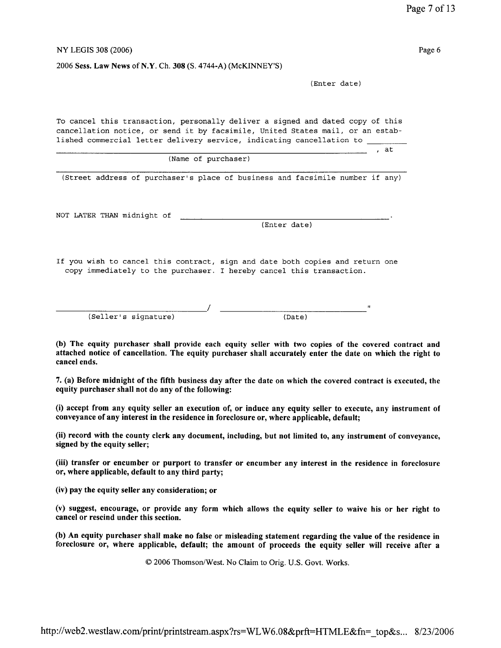2006 Sess. Law News of N.Y. Ch. 308 (S. 4744-A) (McKINNEY'S)

(Enter date)

<u>at the set of the set of the set of the set of the set of the set of the set of the set of the set of the set o</u>

To cancel this transaction, personally deliver a signed and dated copy of this cancellation notice, or send it by facsimile, United States mail, or an established commercial letter delivery service, indicating cancellation to \_

(Name of purchaser)

(Street address of purchaser's place of business and facsimile number if any)

NOT LATER THAN midnight of

(Enter date)

If you wish to cancel this contract, sign and date both copies and return one copy immediately to the purchaser. I hereby cancel this transaction.

(Seller's signature)

 $(Date)$ 

(b) The equity purchaser shall provide each equity seller with two copies of the covered contract and attached notice of cancellation. The equity purchaser shall accurately enter the date on which the right to cancel ends.

7. (a) Before midnight of the fifth business day after the date on which the covered contract is executed, the equity purchaser shall not do any of the following:

(i) accept from any equity seller an execution of, or induce any equity seller to execute, any instrument of conveyance of any interest in the residence in foreclosure or, where applicable, default;

(ii) record with the county clerk any document, including, but not limited to, any instrument of conveyance, signed by the equity seller;

(iii) transfer or encumber or purport to transfer or encumber any interest in the residence in foreclosure or, where applicable, default to any third party;

(iv) pay the equity seller any consideration; or

(v) suggest, encourage, or provide any form which allows the equity seller to waive his or her right to cancel or rescind under this section.

(b) An equity purchaser shall make no false or misleading statement regarding the value of the residence in foreclosure or, where applicable, default; the amount of proceeds the equity seller will receive after a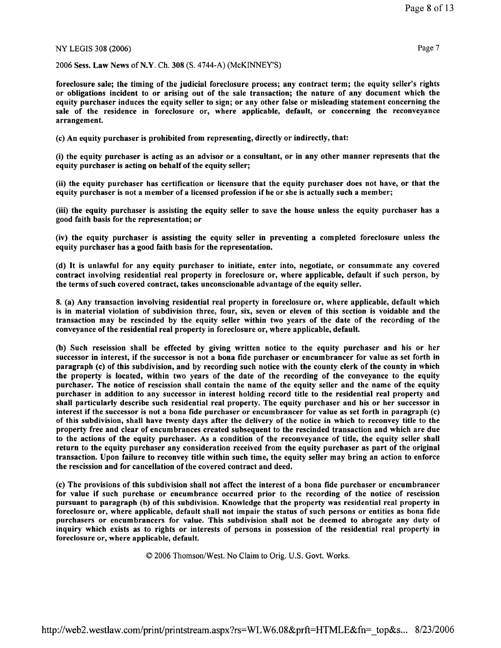2006 Sess. Law News of N.Y. Ch. 308 (S. 4744-A) (McKINNEY'S)

foreclosure sale; the timing of the judicial foreclosure process; any contract term; the equity seller's rights or obligations incident to or arising out of the sale transaction; the nature of any document which the equity purchaser induces the equity seller to sign; or any other false or misleading statement concerning the sale of the residence in foreclosure or, where applicable, default, or concerning the reconveyance arrangement.

(c) An equity purchaser is prohibited from representing, directly or indirectly, that:

(i) the equity purchaser is acting as an advisor or a consultant, or in any other manner represents that the equity purchaser is acting on behalf of the equity seller;

(ii) the equity purchaser has certification or licensure that the equity purchaser does not have, or that the equity purchaser is not a member of a licensed profession if he or she is actually such a member;

(iii) the equity purchaser is assisting the equity seller to save the house unless the equity purchaser has a good faith basis for the representation; or

(iv) the equity purchaser is assisting the equity seller in preventing a completed foreclosure unless the equity purchaser has a good faith basis for the representation.

(d) It is unlawful for any equity purchaser to initiate, enter into, negotiate, or consummate any covered contract involving residential real property in foreclosure or, where applicable, default if such person, by the terms of such covered contract, takes unconscionable advantage of the equity seller.

8. (a) Any transaction involving residential real property in foreclosure or, where applicable, default which is in material violation of subdivision three, four, six, seven or eleven of this section is voidable and the transaction may be rescinded by the equity seller within two years of the date of the recording of the conveyance of the residential real property in foreclosure or, where applicable, default.

(b) Such rescission shall be effected by giving written notice to the equity purchaser and his or her successor in interest, if the successor is not a bona fide purchaser or encumbrancer for value as set forth in paragraph (c) of this subdivision, and by recording such notice with the county clerk of the county in which the property is located, within two years of the date of the recording of the conveyance to the equity purchaser. The notice of rescission shall contain the name of the equity seller and the name of the equity purchaser in addition to any successor in interest holding record title to the residential real property and shall particularly describe such residential real property. The equity purchaser and his or her successor in interest if the successor is not a bona fide purchaser or encumbrancer for value as set forth in paragraph (c) of this subdivision, shall have twenty days after the delivery of the notice in which to reconvey title to the property free and clear of encumbrances created subsequent to the rescinded transaction and which are due to the actions of the equity purchaser. As a condition of the reconveyance of title, the equity seller shall return to the equity purchaser any consideration received from the equity purchaser as part of the original transaction. Upon failure to reconvey title within such time, the equity seller may bring an action to enforce the rescission and for cancellation of the covered contract and deed.

(c) The provisions of this subdivision shall not affect the interest of a bona fide purchaser or encumbrancer for value if such purchase or encumbrance occurred prior to the recording of the notice of rescission pursuant to paragraph (b) of this subdivision. Knowledge that the property was residential real property in foreclosure or, where applicable, default shall not impair the status of such persons or entities as bona fide purchasers or encumbrancers for value. This subdivision shall not be deemed to abrogate any duty of inquiry which exists as to rights or interests of persons in possession of the residential real property in foreclosure or, where applicable, default.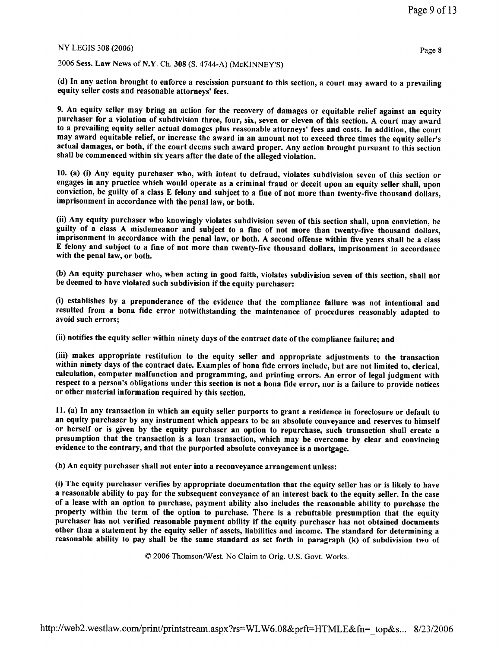2006 Sess. Law News of N.Y. Ch. 308 (S. 4744-A) (McKINNEY'S)

(d) In any action brought to enforce a rescission pursuant to this section, a court may award to a prevailing equity seller costs and reasonable attorneys' fees.

9. An equity seller may bring an action for the recovery of damages or equitable relief against an equity purchaser for a violation of subdivision three, four, six, seven or eleven of this section. A court may award to a prevailing equity seller actual damages plus reasonable attorneys' fees and costs. In addition, the court may award equitable relief, or increase the award in an amount not to exceed three times the equity seller's actual damages, or both, if the court deems such award proper. Any action brought pursuant to this section shall be commenced within six years after the date of the alleged violation.

10. (a) (i) Any equity purchaser who, with intent to defraud, violates subdivision seven of this section or engages in any practice which would operate as a criminal fraud or deceit upon an equity seller shall, upon conviction, be guilty of a class E felony and subject to a fine of not more than twenty-five thousand dollars, imprisonment in accordance with the penal law, or both.

(ii) Any equity purchaser who knowingly violates subdivision seven of this section shall, upon conviction, be guilty of a class A misdemeanor and subject to a fine of not more than twenty-five thousand dollars, imprisonment in accordance with the penal law, or both. A second offense within five years shall be a class E felony and subject to a fine of not more than twenty-five thousand dollars, imprisonment in accordance with the penal law, or both.

(b) An equity purchaser who, when acting in good faith, violates subdivision seven of this section, shall not be deemed to have violated such subdivision if the equity purchaser:

(i) establishes by a preponderance of the evidence that the compliance failure was not intentional and resulted from a bona fide error notwithstanding the maintenance of procedures reasonably adapted to avoid such errors:

(ii) notifies the equity seller within ninety days of the contract date of the compliance failure; and

(iii) makes appropriate restitution to the equity seller and appropriate adjustments to the transaction within ninety days of the contract date. Examples of bona fide errors include, but are not limited to, clerical, calculation, computer malfunction and programming, and printing errors. An error of legal judgment with respect to a person's obligations under this section is not a bona fide error, nor is a failure to provide notices or other material information required by this section.

11. (a) In any transaction in which an equity seller purports to grant a residence in foreclosure or default to an equity purchaser by any instrument which appears to be an absolute conveyance and reserves to himself or herself or is given by the equity purchaser an option to repurchase, such transaction shall create a presumption that the transaction is a loan transaction, which may be overcome by clear and convincing evidence to the contrary, and that the purported absolute conveyance is a mortgage.

(b) An equity purchaser shall not enter into a reconveyance arrangement unless:

(i) The equity purchaser verifies by appropriate documentation that the equity seller has or is likely to have a reasonable ability to pay for the subsequent conveyance of an interest back to the equity seller. In the case of a lease with an option to purchase, payment ability also includes the reasonable ability to purchase the property within the term of the option to purchase. There is a rebuttable presumption that the equity purchaser has not verified reasonable payment ability if the equity purchaser has not obtained documents other than a statement by the equity seller of assets, liabilities and income. The standard for determining a reasonable ability to pay shall be the same standard as set forth in paragraph (k) of subdivision two of

© 2006 Thomson/West. No Claim to Orig. U.S. Govt. Works.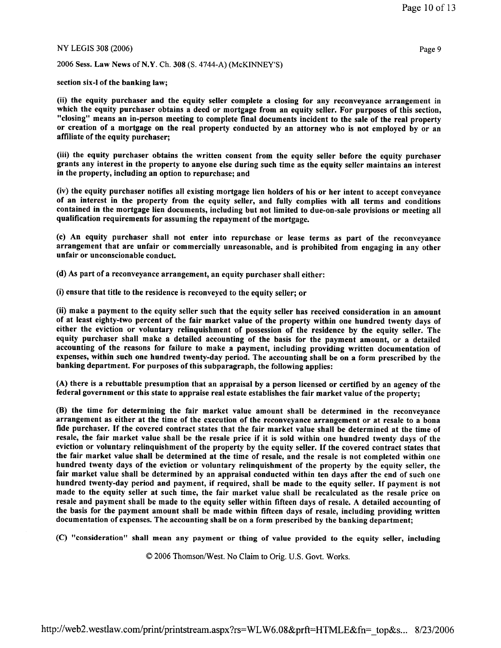2006 Sess. Law News of N.Y. Ch. 308 (S. 4744-A) (McKINNEY'S)

section six-1 of the banking law;

(ii) the equity purchaser and the equity seller complete a closing for any reconveyance arrangement in which the equity purchaser obtains a deed or mortgage from an equity seller. For purposes of this section, "closing" means an in-person meeting to complete final documents incident to the sale of the real property or creation of a mortgage on the real property conducted by an attorney who is not employed by or an affiliate of the equity purchaser;

(iii) the equity purchaser obtains the written consent from the equity seller before the equity purchaser grants any interest in the property to anyone else during such time as the equity seller maintains an interest in the property, including an option to repurchase; and

(iv) the equity purchaser notifies all existing mortgage lien holders of his or her intent to accept conveyance of an interest in the property from the equity seller, and fully complies with all terms and conditions contained in the mortgage lien documents, including but not limited to due-on-sale provisions or meeting all qualification requirements for assuming the repayment of the mortgage.

(c) An equity purchaser shall not enter into repurchase or lease terms as part of the reconveyance arrangement that are unfair or commercially unreasonable, and is prohibited from engaging in any other unfair or unconscionable conduct.

(d) As part of a reconveyance arrangement, an equity purchaser shall either:

(i) ensure that title to the residence is reconveyed to the equity seller; or

(ii) make a payment to the equity seller such that the equity seller has received consideration in an amount of at least eighty-two percent of the fair market value of the property within one hundred twenty days of either the eviction or voluntary relinquishment of possession of the residence by the equity seller. The equity purchaser shall make a detailed accounting of the basis for the payment amount, or a detailed accounting of the reasons for failure to make a payment, including providing written documentation of expenses, within such one hundred twenty-day period. The accounting shall be on a form prescribed by the banking department. For purposes of this subparagraph, the following applies:

(A) there is a rebuttable presumption that an appraisal by a person licensed or certified by an agency of the federal government or this state to appraise real estate establishes the fair market value of the property;

(B) the time for determining the fair market value amount shall be determined in the reconveyance arrangement as either at the time of the execution of the reconveyance arrangement or at resale to a bona fide purchaser. If the covered contract states that the fair market value shall be determined at the time of resale, the fair market value shall be the resale price if it is sold within one hundred twenty days of the eviction or voluntary relinquishment of the property by the equity seller. If the covered contract states that the fair market value shall be determined at the time of resale, and the resale is not completed within one hundred twenty days of the eviction or voluntary relinquishment of the property by the equity seller, the fair market value shall be determined by an appraisal conducted within ten days after the end of such one hundred twenty-day period and payment, if required, shall be made to the equity seller. If payment is not made to the equity seller at such time, the fair market value shall be recalculated as the resale price on resale and payment shall be made to the equity seller within fifteen days of resale. A detailed accounting of the basis for the payment amount shall be made within fifteen days of resale, including providing written documentation of expenses. The accounting shall be on a form prescribed by the banking department;

(C) "consideration" shall mean any payment or thing of value provided to the equity seller, including

© 2006 Thomson/West. No Claim to Orig. U.S. Govt. Works.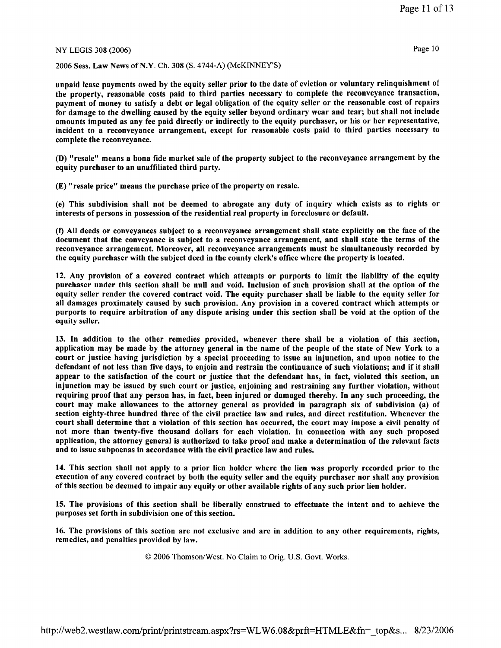2006 Sess. Law News of N.Y. Ch. 308 (S. 4744-A) (McKINNEY'S)

unpaid lease payments owed by the equity seller prior to the date of eviction or voluntary relinquishment of the property, reasonable costs paid to third parties necessary to complete the reconveyance transaction, payment of money to satisfy a debt or legal obligation of the equity seller or the reasonable cost of repairs for damage to the dwelling caused by the equity seller beyond ordinary wear and tear; but shall not include amounts imputed as any fee paid directly or indirectly to the equity purchaser, or his or her representative, incident to a reconveyance arrangement, except for reasonable costs paid to third parties necessary to complete the reconveyance.

(D) "resale" means a bona fide market sale of the property subject to the reconveyance arrangement by the equity purchaser to an unaffiliated third party.

(E) "resale price" means the purchase price of the property on resale.

(e) This subdivision shall not be deemed to abrogate any duty of inquiry which exists as to rights or interests of persons in possession of the residential real property in foreclosure or default.

(f) All deeds or conveyances subject to a reconveyance arrangement shall state explicitly on the face of the document that the conveyance is subject to a reconveyance arrangement, and shall state the terms of the reconveyance arrangement. Moreover, all reconveyance arrangements must be simultaneously recorded by the equity purchaser with the subject deed in the county clerk's office where the property is located.

12. Any provision of a covered contract which attempts or purports to limit the liability of the equity purchaser under this section shall be null and void. Inclusion of such provision shall at the option of the equity seller render the covered contract void. The equity purchaser shall be liable to the equity seller for all damages proximately caused by such provision. Any provision in a covered contract which attempts or purports to require arbitration of any dispute arising under this section shall be void at the option of the equity seller.

13. In addition to the other remedies provided, whenever there shall be a violation of this section, application may be made by the attorney general in the name of the people of the state of New York to a court or justice having jurisdiction by a special proceeding to issue an injunction, and upon notice to the defendant of not less than five days, to enjoin and restrain the continuance of such violations; and if it shall appear to the satisfaction of the court or justice that the defendant has, in fact, violated this section, an injunction may be issued by such court or justice, enjoining and restraining any further violation, without requiring proof that any person has, in fact, been injured or damaged thereby. In any such proceeding, the court may make allowances to the attorney general as provided in paragraph six of subdivision (a) of section eighty-three hundred three of the civil practice law and rules, and direct restitution. Whenever the court shall determine that a violation of this section has occurred, the court may impose a civil penalty of not more than twenty-five thousand dollars for each violation. In connection with any such proposed application, the attorney general is authorized to take proof and make a determination of the relevant facts and to issue subpoenas in accordance with the civil practice law and rules.

14. This section shall not apply to a prior lien holder where the lien was properly recorded prior to the execution of any covered contract by both the equity seller and the equity purchaser nor shall any provision of this section be deemed to impair any equity or other available rights of any such prior lien holder.

15. The provisions of this section shall be liberally construed to effectuate the intent and to achieve the purposes set forth in subdivision one of this section.

16. The provisions of this section are not exclusive and are in addition to any other requirements, rights, remedies, and penalties provided by law.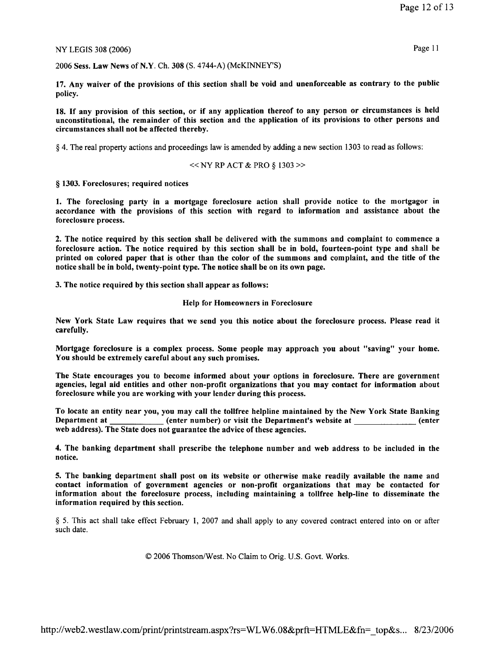2006 Sess. Law News of N.Y. Ch. 308 (S. 4744-A) (McKINNEY'S)

17. Any waiver of the provisions of this section shall be void and unenforceable as contrary to the public policy.

18. If any provision of this section, or if any application thereof to any person or circumstances is held unconstitutional, the remainder of this section and the application of its provisions to other persons and circumstances shall not be affected thereby.

§ 4. The real property actions and proceedings law is amended by adding a new section 1303 to read as follows:

$$
\ll
$$
 NY RP ACT & PRO § 1303  $\gg$ 

§ 1303. Foreclosures; required notices

1. The foreclosing party in a mortgage foreclosure action shall provide notice to the mortgagor in accordance with the provisions of this section with regard to information and assistance about the foreclosure process.

2. The notice required by this section shall be delivered with the summons and complaint to commence a foreclosure action. The notice required by this section shall be in bold, fourteen-point type and shall be printed on colored paper that is other than the color of the summons and complaint, and the title of the notice shall be in bold, twenty-point type. The notice shall be on its own page.

3. The notice required by this section shall appear as follows:

#### **Help for Homeowners in Foreclosure**

New York State Law requires that we send you this notice about the foreclosure process. Please read it carefully.

Mortgage foreclosure is a complex process. Some people may approach you about "saving" your home. You should be extremely careful about any such promises.

The State encourages you to become informed about your options in foreclosure. There are government agencies, legal aid entities and other non-profit organizations that you may contact for information about foreclosure while you are working with your lender during this process.

To locate an entity near you, you may call the tollfree helpline maintained by the New York State Banking Department at \_\_\_\_\_\_\_\_\_\_\_\_\_(enter number) or visit the Department's website at \_\_\_\_\_\_\_\_\_\_\_\_\_(enter web address). The State does not guarantee the advice of these agencies.

4. The banking department shall prescribe the telephone number and web address to be included in the notice.

5. The banking department shall post on its website or otherwise make readily available the name and contact information of government agencies or non-profit organizations that may be contacted for information about the foreclosure process, including maintaining a tollfree help-line to disseminate the information required by this section.

§ 5. This act shall take effect February 1, 2007 and shall apply to any covered contract entered into on or after such date.

© 2006 Thomson/West. No Claim to Orig. U.S. Govt. Works.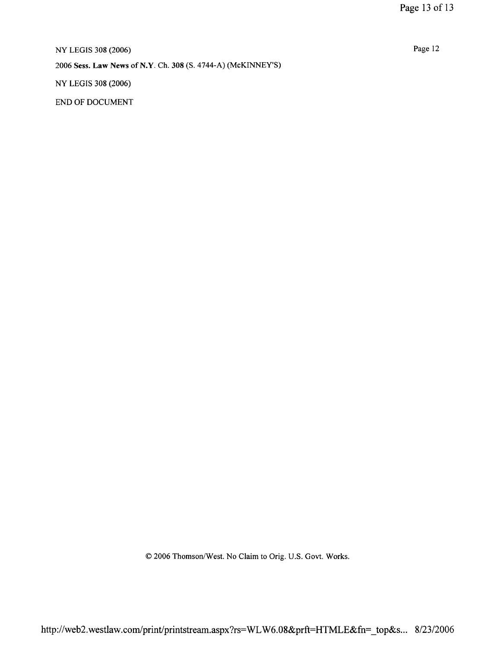Page 12

NY LEGIS 308 (2006) 2006 Sess. Law News of N.Y. Ch. 308 (S. 4744-A) (McKINNEY'S) NY LEGIS 308 (2006)

END OF DOCUMENT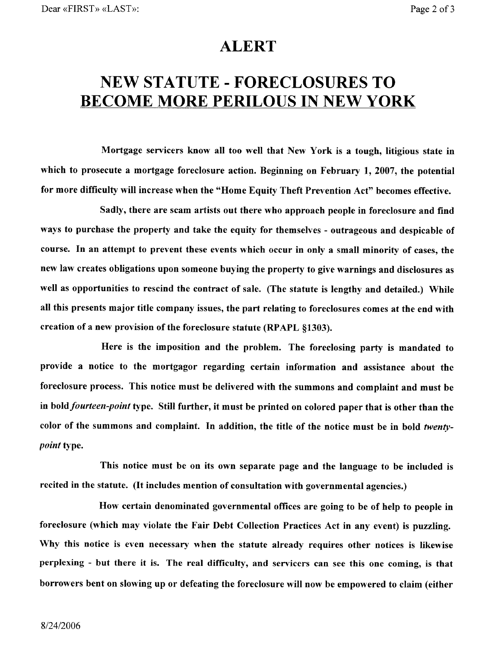# **ALERT**

# **NEW STATUTE - FORECLOSURES TO BECOME MORE PERILOUS IN NEW YORK**

Mortgage servicers know all too well that New York is a tough, litigious state in which to prosecute a mortgage foreclosure action. Beginning on February 1, 2007, the potential for more difficulty will increase when the "Home Equity Theft Prevention Act" becomes effective.

Sadly, there are scam artists out there who approach people in foreclosure and find ways to purchase the property and take the equity for themselves - outrageous and despicable of course. In an attempt to prevent these events which occur in only a small minority of cases, the new law creates obligations upon someone buying the property to give warnings and disclosures as well as opportunities to rescind the contract of sale. (The statute is lengthy and detailed.) While all this presents major title company issues, the part relating to foreclosures comes at the end with creation of a new provision of the foreclosure statute (RPAPL §1303).

Here is the imposition and the problem. The foreclosing party is mandated to provide a notice to the mortgagor regarding certain information and assistance about the foreclosure process. This notice must be delivered with the summons and complaint and must be in bold *fourteen-point* type. Still further, it must be printed on colored paper that is other than the color of the summons and complaint. In addition, the title of the notice must be in bold twenty*point* type.

This notice must be on its own separate page and the language to be included is recited in the statute. (It includes mention of consultation with governmental agencies.)

How certain denominated governmental offices are going to be of help to people in foreclosure (which may violate the Fair Debt Collection Practices Act in any event) is puzzling. Why this notice is even necessary when the statute already requires other notices is likewise perplexing - but there it is. The real difficulty, and servicers can see this one coming, is that borrowers bent on slowing up or defeating the foreclosure will now be empowered to claim (either